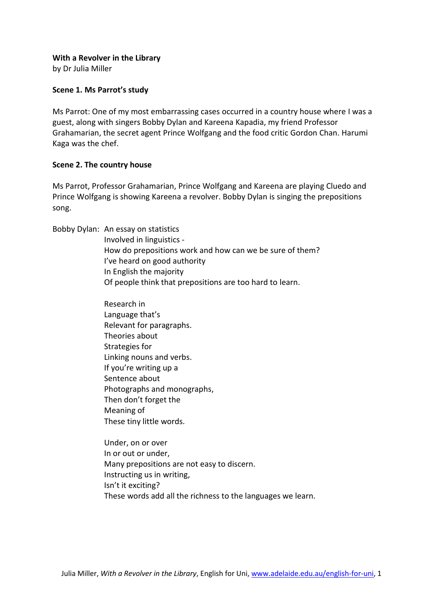## **With a Revolver in the Library**

by Dr Julia Miller

# **Scene 1. Ms Parrot's study**

Ms Parrot: One of my most embarrassing cases occurred in a country house where I was a guest, along with singers Bobby Dylan and Kareena Kapadia, my friend Professor Grahamarian, the secret agent Prince Wolfgang and the food critic Gordon Chan. Harumi Kaga was the chef.

# **Scene 2. The country house**

Ms Parrot, Professor Grahamarian, Prince Wolfgang and Kareena are playing Cluedo and Prince Wolfgang is showing Kareena a revolver. Bobby Dylan is singing the prepositions song.

Bobby Dylan: An essay on statistics

Involved in linguistics - How do prepositions work and how can we be sure of them? I've heard on good authority In English the majority Of people think that prepositions are too hard to learn.

Research in Language that's Relevant for paragraphs. Theories about Strategies for Linking nouns and verbs. If you're writing up a Sentence about Photographs and monographs, Then don't forget the Meaning of These tiny little words.

Under, on or over In or out or under, Many prepositions are not easy to discern. Instructing us in writing, Isn't it exciting? These words add all the richness to the languages we learn.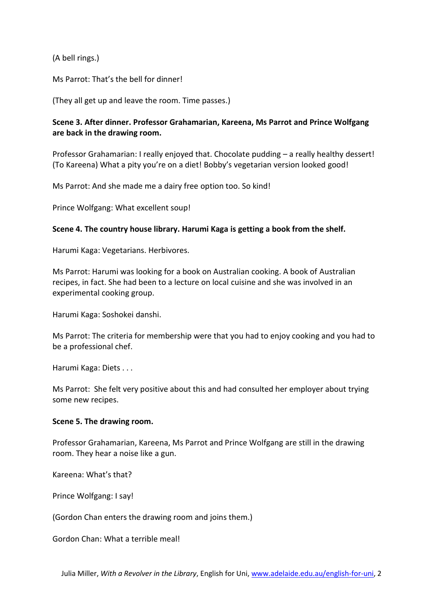(A bell rings.)

Ms Parrot: That's the bell for dinner!

(They all get up and leave the room. Time passes.)

# **Scene 3. After dinner. Professor Grahamarian, Kareena, Ms Parrot and Prince Wolfgang are back in the drawing room.**

Professor Grahamarian: I really enjoyed that. Chocolate pudding – a really healthy dessert! (To Kareena) What a pity you're on a diet! Bobby's vegetarian version looked good!

Ms Parrot: And she made me a dairy free option too. So kind!

Prince Wolfgang: What excellent soup!

# **Scene 4. The country house library. Harumi Kaga is getting a book from the shelf.**

Harumi Kaga: Vegetarians. Herbivores.

Ms Parrot: Harumi was looking for a book on Australian cooking. A book of Australian recipes, in fact. She had been to a lecture on local cuisine and she was involved in an experimental cooking group.

Harumi Kaga: Soshokei danshi.

Ms Parrot: The criteria for membership were that you had to enjoy cooking and you had to be a professional chef.

Harumi Kaga: Diets . . .

Ms Parrot: She felt very positive about this and had consulted her employer about trying some new recipes.

## **Scene 5. The drawing room.**

Professor Grahamarian, Kareena, Ms Parrot and Prince Wolfgang are still in the drawing room. They hear a noise like a gun.

Kareena: What's that?

Prince Wolfgang: I say!

(Gordon Chan enters the drawing room and joins them.)

Gordon Chan: What a terrible meal!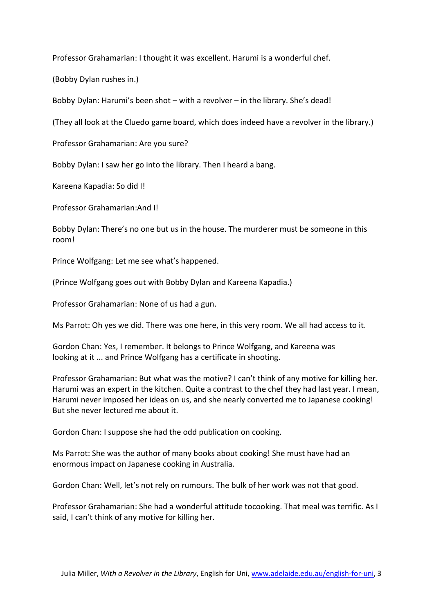Professor Grahamarian: I thought it was excellent. Harumi is a wonderful chef.

(Bobby Dylan rushes in.)

Bobby Dylan: Harumi's been shot – with a revolver – in the library. She's dead!

(They all look at the Cluedo game board, which does indeed have a revolver in the library.)

Professor Grahamarian: Are you sure?

Bobby Dylan: I saw her go into the library. Then I heard a bang.

Kareena Kapadia: So did I!

Professor Grahamarian:And I!

Bobby Dylan: There's no one but us in the house. The murderer must be someone in this room!

Prince Wolfgang: Let me see what's happened.

(Prince Wolfgang goes out with Bobby Dylan and Kareena Kapadia.)

Professor Grahamarian: None of us had a gun.

Ms Parrot: Oh yes we did. There was one here, in this very room. We all had access to it.

Gordon Chan: Yes, I remember. It belongs to Prince Wolfgang, and Kareena was looking at it ... and Prince Wolfgang has a certificate in shooting.

Professor Grahamarian: But what was the motive? I can't think of any motive for killing her. Harumi was an expert in the kitchen. Quite a contrast to the chef they had last year. I mean, Harumi never imposed her ideas on us, and she nearly converted me to Japanese cooking! But she never lectured me about it.

Gordon Chan: I suppose she had the odd publication on cooking.

Ms Parrot: She was the author of many books about cooking! She must have had an enormous impact on Japanese cooking in Australia.

Gordon Chan: Well, let's not rely on rumours. The bulk of her work was not that good.

Professor Grahamarian: She had a wonderful attitude tocooking. That meal was terrific. As I said, I can't think of any motive for killing her.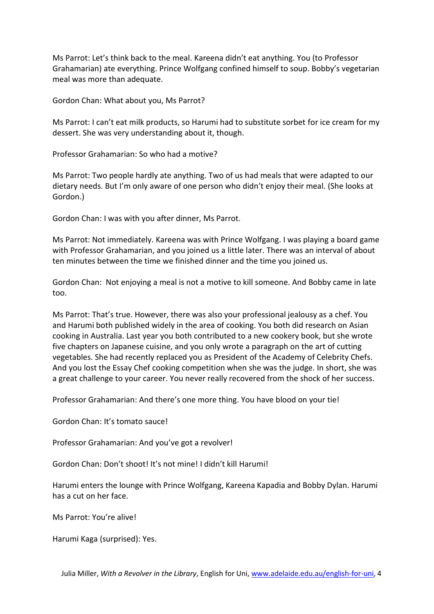Ms Parrot: Let's think back to the meal. Kareena didn't eat anything. You (to Professor Grahamarian) ate everything. Prince Wolfgang confined himself to soup. Bobby's vegetarian meal was more than adequate.

Gordon Chan: What about you, Ms Parrot?

Ms Parrot: I can't eat milk products, so Harumi had to substitute sorbet for ice cream for my dessert. She was very understanding about it, though.

Professor Grahamarian: So who had a motive?

Ms Parrot: Two people hardly ate anything. Two of us had meals that were adapted to our dietary needs. But I'm only aware of one person who didn't enjoy their meal. (She looks at Gordon.)

Gordon Chan: I was with you after dinner, Ms Parrot.

Ms Parrot: Not immediately. Kareena was with Prince Wolfgang. I was playing a board game with Professor Grahamarian, and you joined us a little later. There was an interval of about ten minutes between the time we finished dinner and the time you joined us.

Gordon Chan: Not enjoying a meal is not a motive to kill someone. And Bobby came in late too.

Ms Parrot: That's true. However, there was also your professional jealousy as a chef. You and Harumi both published widely in the area of cooking. You both did research on Asian cooking in Australia. Last year you both contributed to a new cookery book, but she wrote five chapters on Japanese cuisine, and you only wrote a paragraph on the art of cutting vegetables. She had recently replaced you as President of the Academy of Celebrity Chefs. And you lost the Essay Chef cooking competition when she was the judge. In short, she was a great challenge to your career. You never really recovered from the shock of her success.

Professor Grahamarian: And there's one more thing. You have blood on your tie!

Gordon Chan: It's tomato sauce!

Professor Grahamarian: And you've got a revolver!

Gordon Chan: Don't shoot! It's not mine! I didn't kill Harumi!

Harumi enters the lounge with Prince Wolfgang, Kareena Kapadia and Bobby Dylan. Harumi has a cut on her face.

Ms Parrot: You're alive!

Harumi Kaga (surprised): Yes.

Julia Miller, *With a Revolver in the Library*, English for Uni, www.adelaide.edu.au/english-for-uni, 4